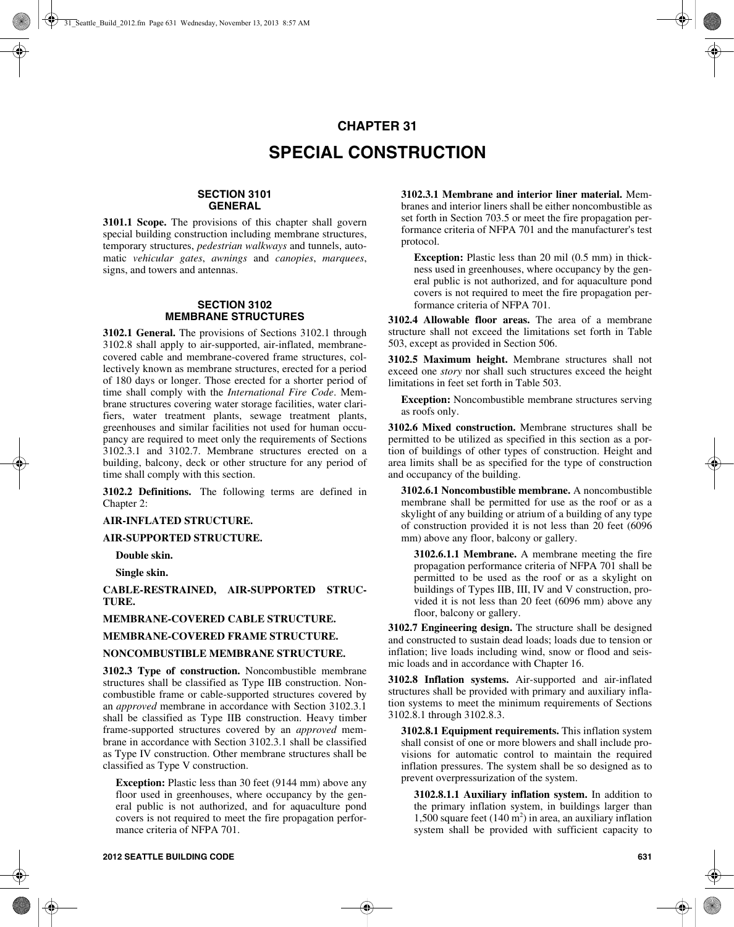# **CHAPTER 31 SPECIAL CONSTRUCTION**

# **SECTION 3101 GENERAL**

**3101.1 Scope.** The provisions of this chapter shall govern special building construction including membrane structures, temporary structures, *pedestrian walkways* and tunnels, automatic *vehicular gates*, *awnings* and *canopies*, *marquees*, signs, and towers and antennas.

# **SECTION 3102 MEMBRANE STRUCTURES**

**3102.1 General.** The provisions of Sections 3102.1 through 3102.8 shall apply to air-supported, air-inflated, membranecovered cable and membrane-covered frame structures, collectively known as membrane structures, erected for a period of 180 days or longer. Those erected for a shorter period of time shall comply with the *International Fire Code*. Membrane structures covering water storage facilities, water clarifiers, water treatment plants, sewage treatment plants, greenhouses and similar facilities not used for human occupancy are required to meet only the requirements of Sections 3102.3.1 and 3102.7. Membrane structures erected on a building, balcony, deck or other structure for any period of time shall comply with this section.

**3102.2 Definitions.** The following terms are defined in Chapter 2:

#### **AIR-INFLATED STRUCTURE.**

# **AIR-SUPPORTED STRUCTURE.**

**Double skin.**

**Single skin.**

**CABLE-RESTRAINED, AIR-SUPPORTED STRUC-TURE.**

# **MEMBRANE-COVERED CABLE STRUCTURE.**

## **MEMBRANE-COVERED FRAME STRUCTURE.**

## **NONCOMBUSTIBLE MEMBRANE STRUCTURE.**

**3102.3 Type of construction.** Noncombustible membrane structures shall be classified as Type IIB construction. Noncombustible frame or cable-supported structures covered by an *approved* membrane in accordance with Section 3102.3.1 shall be classified as Type IIB construction. Heavy timber frame-supported structures covered by an *approved* membrane in accordance with Section 3102.3.1 shall be classified as Type IV construction. Other membrane structures shall be classified as Type V construction.

**Exception:** Plastic less than 30 feet (9144 mm) above any floor used in greenhouses, where occupancy by the general public is not authorized, and for aquaculture pond covers is not required to meet the fire propagation performance criteria of NFPA 701.

**3102.3.1 Membrane and interior liner material.** Membranes and interior liners shall be either noncombustible as set forth in Section 703.5 or meet the fire propagation performance criteria of NFPA 701 and the manufacturer's test protocol.

**Exception:** Plastic less than 20 mil (0.5 mm) in thickness used in greenhouses, where occupancy by the general public is not authorized, and for aquaculture pond covers is not required to meet the fire propagation performance criteria of NFPA 701.

**3102.4 Allowable floor areas.** The area of a membrane structure shall not exceed the limitations set forth in Table 503, except as provided in Section 506.

**3102.5 Maximum height.** Membrane structures shall not exceed one *story* nor shall such structures exceed the height limitations in feet set forth in Table 503.

**Exception:** Noncombustible membrane structures serving as roofs only.

**3102.6 Mixed construction.** Membrane structures shall be permitted to be utilized as specified in this section as a portion of buildings of other types of construction. Height and area limits shall be as specified for the type of construction and occupancy of the building.

**3102.6.1 Noncombustible membrane.** A noncombustible membrane shall be permitted for use as the roof or as a skylight of any building or atrium of a building of any type of construction provided it is not less than 20 feet (6096 mm) above any floor, balcony or gallery.

**3102.6.1.1 Membrane.** A membrane meeting the fire propagation performance criteria of NFPA 701 shall be permitted to be used as the roof or as a skylight on buildings of Types IIB, III, IV and V construction, provided it is not less than 20 feet (6096 mm) above any floor, balcony or gallery.

**3102.7 Engineering design.** The structure shall be designed and constructed to sustain dead loads; loads due to tension or inflation; live loads including wind, snow or flood and seismic loads and in accordance with Chapter 16.

**3102.8 Inflation systems.** Air-supported and air-inflated structures shall be provided with primary and auxiliary inflation systems to meet the minimum requirements of Sections 3102.8.1 through 3102.8.3.

**3102.8.1 Equipment requirements.** This inflation system shall consist of one or more blowers and shall include provisions for automatic control to maintain the required inflation pressures. The system shall be so designed as to prevent overpressurization of the system.

**3102.8.1.1 Auxiliary inflation system.** In addition to the primary inflation system, in buildings larger than 1,500 square feet  $(140 \text{ m}^2)$  in area, an auxiliary inflation system shall be provided with sufficient capacity to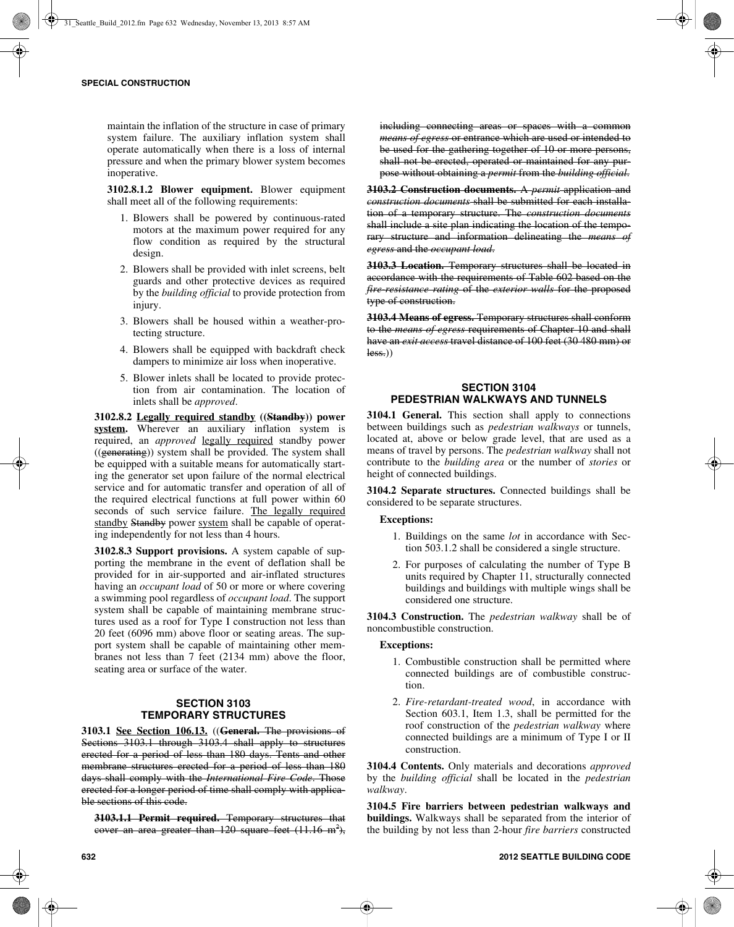maintain the inflation of the structure in case of primary system failure. The auxiliary inflation system shall operate automatically when there is a loss of internal pressure and when the primary blower system becomes inoperative.

**3102.8.1.2 Blower equipment.** Blower equipment shall meet all of the following requirements:

- 1. Blowers shall be powered by continuous-rated motors at the maximum power required for any flow condition as required by the structural design.
- 2. Blowers shall be provided with inlet screens, belt guards and other protective devices as required by the *building official* to provide protection from injury.
- 3. Blowers shall be housed within a weather-protecting structure.
- 4. Blowers shall be equipped with backdraft check dampers to minimize air loss when inoperative.
- 5. Blower inlets shall be located to provide protection from air contamination. The location of inlets shall be *approved*.

**3102.8.2 Legally required standby ((Standby)) power** system. Wherever an auxiliary inflation system is required, an *approved* legally required standby power  $((\text{generating}))$  system shall be provided. The system shall be equipped with a suitable means for automatically starting the generator set upon failure of the normal electrical service and for automatic transfer and operation of all of the required electrical functions at full power within 60 seconds of such service failure. The legally required standby Standby power system shall be capable of operating independently for not less than 4 hours.

**3102.8.3 Support provisions.** A system capable of supporting the membrane in the event of deflation shall be provided for in air-supported and air-inflated structures having an *occupant load* of 50 or more or where covering a swimming pool regardless of *occupant load*. The support system shall be capable of maintaining membrane structures used as a roof for Type I construction not less than 20 feet (6096 mm) above floor or seating areas. The support system shall be capable of maintaining other membranes not less than 7 feet (2134 mm) above the floor, seating area or surface of the water.

# **SECTION 3103 TEMPORARY STRUCTURES**

**3103.1 See Section 106.13.** ((**General.** The provisions of Sections 3103.1 through 3103.4 shall apply to structures erected for a period of less than 180 days. Tents and other membrane structures erected for a period of less than 180 days shall comply with the *International Fire Code*. Those erected for a longer period of time shall comply with applicable sections of this code.

**3103.1.1 Permit required.** Temporary structures that cover an area greater than  $120$  square feet  $(11.16 \text{ m}^2)$ ,

including connecting areas or spaces with a common *means of egress* or entrance which are used or intended to be used for the gathering together of 10 or more persons, shall not be erected, operated or maintained for any purpose without obtaining a *permit* from the *building official*.

**3103.2 Construction documents.** A *permit* application and *construction documents* shall be submitted for each installation of a temporary structure. The *construction documents* shall include a site plan indicating the location of the temporary structure and information delineating the *means of egress* and the *occupant load*.

**3103.3 Location.** Temporary structures shall be located in accordance with the requirements of Table 602 based on the *fire-resistance rating* of the *exterior walls* for the proposed type of construction.

**3103.4 Means of egress.** Temporary structures shall conform to the *means of egress* requirements of Chapter 10 and shall have an *exit access* travel distance of 100 feet (30 480 mm) or  $less.)$ 

# **SECTION 3104 PEDESTRIAN WALKWAYS AND TUNNELS**

**3104.1 General.** This section shall apply to connections between buildings such as *pedestrian walkways* or tunnels, located at, above or below grade level, that are used as a means of travel by persons. The *pedestrian walkway* shall not contribute to the *building area* or the number of *stories* or height of connected buildings.

**3104.2 Separate structures.** Connected buildings shall be considered to be separate structures.

## **Exceptions:**

- 1. Buildings on the same *lot* in accordance with Section 503.1.2 shall be considered a single structure.
- 2. For purposes of calculating the number of Type B units required by Chapter 11, structurally connected buildings and buildings with multiple wings shall be considered one structure.

**3104.3 Construction.** The *pedestrian walkway* shall be of noncombustible construction.

## **Exceptions:**

- 1. Combustible construction shall be permitted where connected buildings are of combustible construction.
- 2. *Fire-retardant-treated wood*, in accordance with Section 603.1, Item 1.3, shall be permitted for the roof construction of the *pedestrian walkway* where connected buildings are a minimum of Type I or II construction.

**3104.4 Contents.** Only materials and decorations *approved* by the *building official* shall be located in the *pedestrian walkway*.

**3104.5 Fire barriers between pedestrian walkways and buildings.** Walkways shall be separated from the interior of the building by not less than 2-hour *fire barriers* constructed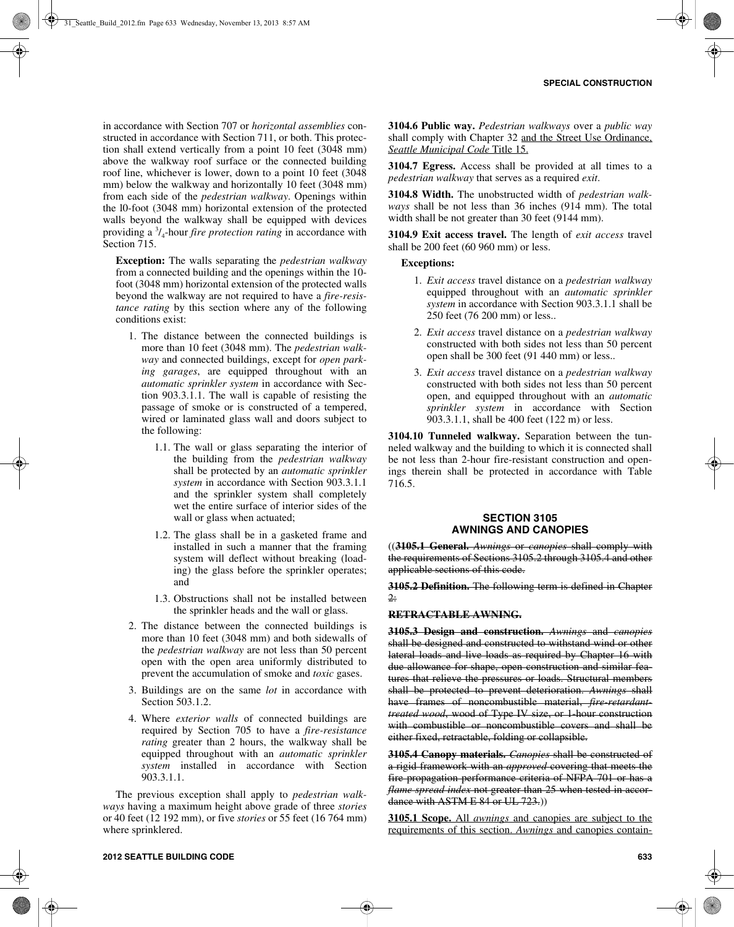in accordance with Section 707 or *horizontal assemblies* constructed in accordance with Section 711, or both. This protection shall extend vertically from a point 10 feet (3048 mm) above the walkway roof surface or the connected building roof line, whichever is lower, down to a point 10 feet (3048 mm) below the walkway and horizontally 10 feet (3048 mm) from each side of the *pedestrian walkway*. Openings within the l0-foot (3048 mm) horizontal extension of the protected walls beyond the walkway shall be equipped with devices providing a <sup>3</sup> /4-hour *fire protection rating* in accordance with Section 715.

**Exception:** The walls separating the *pedestrian walkway* from a connected building and the openings within the 10 foot (3048 mm) horizontal extension of the protected walls beyond the walkway are not required to have a *fire-resistance rating* by this section where any of the following conditions exist:

- 1. The distance between the connected buildings is more than 10 feet (3048 mm). The *pedestrian walkway* and connected buildings, except for *open parking garages*, are equipped throughout with an *automatic sprinkler system* in accordance with Section 903.3.1.1. The wall is capable of resisting the passage of smoke or is constructed of a tempered, wired or laminated glass wall and doors subject to the following:
	- 1.1. The wall or glass separating the interior of the building from the *pedestrian walkway* shall be protected by an *automatic sprinkler system* in accordance with Section 903.3.1.1 and the sprinkler system shall completely wet the entire surface of interior sides of the wall or glass when actuated;
	- 1.2. The glass shall be in a gasketed frame and installed in such a manner that the framing system will deflect without breaking (loading) the glass before the sprinkler operates; and
	- 1.3. Obstructions shall not be installed between the sprinkler heads and the wall or glass.
- 2. The distance between the connected buildings is more than 10 feet (3048 mm) and both sidewalls of the *pedestrian walkway* are not less than 50 percent open with the open area uniformly distributed to prevent the accumulation of smoke and *toxic* gases.
- 3. Buildings are on the same *lot* in accordance with Section 503.1.2.
- 4. Where *exterior walls* of connected buildings are required by Section 705 to have a *fire-resistance rating* greater than 2 hours, the walkway shall be equipped throughout with an *automatic sprinkler system* installed in accordance with Section 903.3.1.1.

The previous exception shall apply to *pedestrian walkways* having a maximum height above grade of three *stories* or 40 feet (12 192 mm), or five *stories* or 55 feet (16 764 mm) where sprinklered.

**3104.6 Public way.** *Pedestrian walkways* over a *public way* shall comply with Chapter 32 and the Street Use Ordinance, *Seattle Municipal Code* Title 15.

**3104.7 Egress.** Access shall be provided at all times to a *pedestrian walkway* that serves as a required *exit*.

**3104.8 Width.** The unobstructed width of *pedestrian walkways* shall be not less than 36 inches (914 mm). The total width shall be not greater than 30 feet (9144 mm).

**3104.9 Exit access travel.** The length of *exit access* travel shall be 200 feet (60 960 mm) or less.

### **Exceptions:**

- 1. *Exit access* travel distance on a *pedestrian walkway* equipped throughout with an *automatic sprinkler system* in accordance with Section 903.3.1.1 shall be 250 feet (76 200 mm) or less..
- 2. *Exit access* travel distance on a *pedestrian walkway* constructed with both sides not less than 50 percent open shall be 300 feet (91 440 mm) or less..
- 3. *Exit access* travel distance on a *pedestrian walkway* constructed with both sides not less than 50 percent open, and equipped throughout with an *automatic sprinkler system* in accordance with Section 903.3.1.1, shall be 400 feet (122 m) or less.

**3104.10 Tunneled walkway.** Separation between the tunneled walkway and the building to which it is connected shall be not less than 2-hour fire-resistant construction and openings therein shall be protected in accordance with Table 716.5.

# **SECTION 3105 AWNINGS AND CANOPIES**

((**3105.1 General.** *Awnings* or *canopies* shall comply with the requirements of Sections 3105.2 through 3105.4 and other applicable sections of this code.

**3105.2 Definition.** The following term is defined in Chapter 2:

#### **RETRACTABLE AWNING.**

**3105.3 Design and construction.** *Awnings* and *canopies* shall be designed and constructed to withstand wind or other lateral loads and live loads as required by Chapter 16 with due allowance for shape, open construction and similar features that relieve the pressures or loads. Structural members shall be protected to prevent deterioration. *Awnings* shall have frames of noncombustible material, *fire retardant treated wood*, wood of Type IV size, or 1-hour construction with combustible or noncombustible covers and shall be either fixed, retractable, folding or collapsible.

**3105.4 Canopy materials.** *Canopies* shall be constructed of a rigid framework with an *approved* covering that meets the fire propagation performance criteria of NFPA 701 or has a *flame spread index* not greater than 25 when tested in accordance with ASTM E 84 or UL 723.)

**3105.1 Scope.** All *awnings* and canopies are subject to the requirements of this section. *Awnings* and canopies contain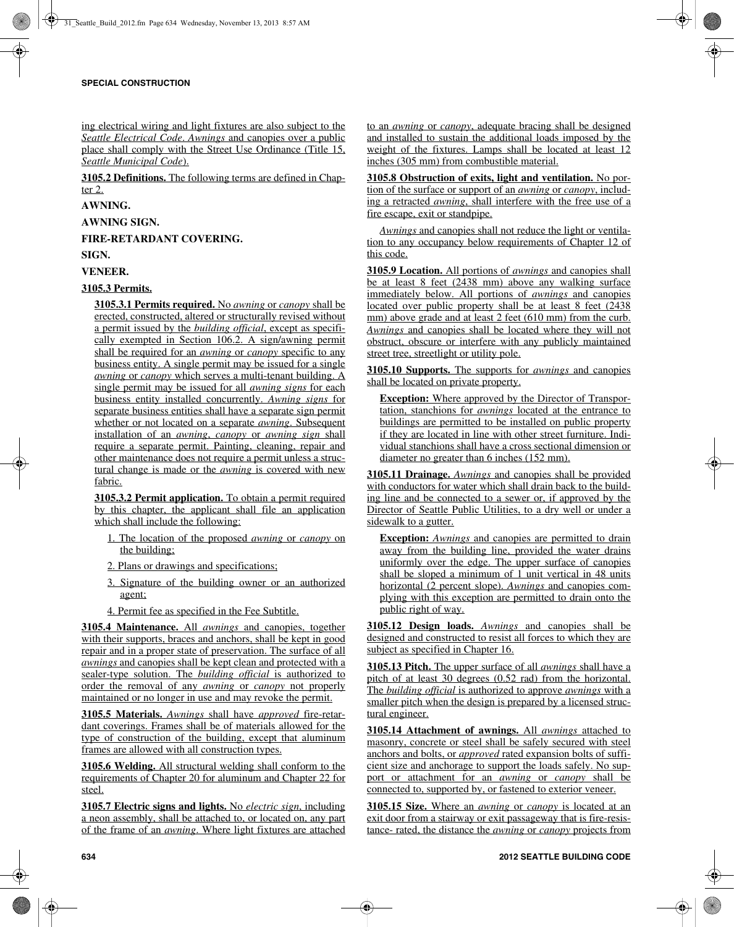ing electrical wiring and light fixtures are also subject to the *Seattle Electrical Code*. *Awnings* and canopies over a public place shall comply with the Street Use Ordinance (Title 15, *Seattle Municipal Code*).

**3105.2 Definitions.** The following terms are defined in Chapter 2.

# **AWNING.**

**AWNING SIGN.**

**FIRE-RETARDANT COVERING.**

**SIGN.**

**VENEER.**

# **3105.3 Permits.**

**3105.3.1 Permits required.** No *awning* or *canopy* shall be erected, constructed, altered or structurally revised without a permit issued by the *building official*, except as specifically exempted in Section 106.2. A sign/awning permit shall be required for an *awning* or *canopy* specific to any business entity. A single permit may be issued for a single *awning* or *canopy* which serves a multi-tenant building. A single permit may be issued for all *awning signs* for each business entity installed concurrently. *Awning signs* for separate business entities shall have a separate sign permit whether or not located on a separate *awning*. Subsequent installation of an *awning*, *canopy* or *awning sign* shall require a separate permit. Painting, cleaning, repair and other maintenance does not require a permit unless a structural change is made or the *awning* is covered with new fabric.

**3105.3.2 Permit application.** To obtain a permit required by this chapter, the applicant shall file an application which shall include the following:

- 1. The location of the proposed *awning* or *canopy* on the building;
- 2. Plans or drawings and specifications;
- 3. Signature of the building owner or an authorized agent;
- 4. Permit fee as specified in the Fee Subtitle.

**3105.4 Maintenance.** All *awnings* and canopies, together with their supports, braces and anchors, shall be kept in good repair and in a proper state of preservation. The surface of all *awnings* and canopies shall be kept clean and protected with a sealer-type solution. The *building official* is authorized to order the removal of any *awning* or *canopy* not properly maintained or no longer in use and may revoke the permit.

**3105.5 Materials.** *Awnings* shall have *approved* fire-retardant coverings. Frames shall be of materials allowed for the type of construction of the building, except that aluminum frames are allowed with all construction types.

**3105.6 Welding.** All structural welding shall conform to the requirements of Chapter 20 for aluminum and Chapter 22 for steel.

**3105.7 Electric signs and lights.** No *electric sign*, including a neon assembly, shall be attached to, or located on, any part of the frame of an *awning*. Where light fixtures are attached to an *awning* or *canopy*, adequate bracing shall be designed and installed to sustain the additional loads imposed by the weight of the fixtures. Lamps shall be located at least 12 inches (305 mm) from combustible material.

**3105.8 Obstruction of exits, light and ventilation.** No portion of the surface or support of an *awning* or *canopy*, including a retracted *awning*, shall interfere with the free use of a fire escape, exit or standpipe.

*Awnings* and canopies shall not reduce the light or ventilation to any occupancy below requirements of Chapter 12 of this code.

**3105.9 Location.** All portions of *awnings* and canopies shall be at least 8 feet (2438 mm) above any walking surface immediately below. All portions of *awnings* and canopies located over public property shall be at least 8 feet (2438) mm) above grade and at least 2 feet (610 mm) from the curb. *Awnings* and canopies shall be located where they will not obstruct, obscure or interfere with any publicly maintained street tree, streetlight or utility pole.

**3105.10 Supports.** The supports for *awnings* and canopies shall be located on private property.

**Exception:** Where approved by the Director of Transportation, stanchions for *awnings* located at the entrance to buildings are permitted to be installed on public property if they are located in line with other street furniture. Individual stanchions shall have a cross sectional dimension or diameter no greater than 6 inches (152 mm).

**3105.11 Drainage.** *Awnings* and canopies shall be provided with conductors for water which shall drain back to the building line and be connected to a sewer or, if approved by the Director of Seattle Public Utilities, to a dry well or under a sidewalk to a gutter.

**Exception:** *Awnings* and canopies are permitted to drain away from the building line, provided the water drains uniformly over the edge. The upper surface of canopies shall be sloped a minimum of 1 unit vertical in 48 units horizontal (2 percent slope). *Awnings* and canopies complying with this exception are permitted to drain onto the public right of way.

**3105.12 Design loads.** *Awnings* and canopies shall be designed and constructed to resist all forces to which they are subject as specified in Chapter 16.

**3105.13 Pitch.** The upper surface of all *awnings* shall have a pitch of at least 30 degrees (0.52 rad) from the horizontal. The *building official* is authorized to approve *awnings* with a smaller pitch when the design is prepared by a licensed structural engineer.

**3105.14 Attachment of awnings.** All *awnings* attached to masonry, concrete or steel shall be safely secured with steel anchors and bolts, or *approved* rated expansion bolts of sufficient size and anchorage to support the loads safely. No support or attachment for an *awning* or *canopy* shall be connected to, supported by, or fastened to exterior veneer.

**3105.15 Size.** Where an *awning* or *canopy* is located at an exit door from a stairway or exit passageway that is fire-resistance- rated, the distance the *awning* or *canopy* projects from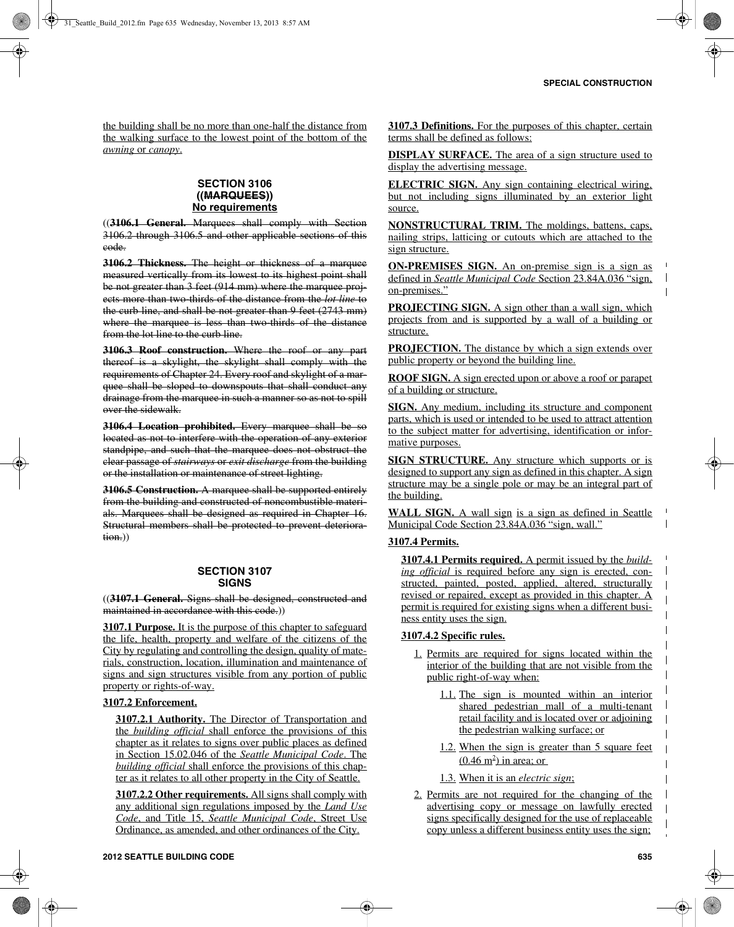the building shall be no more than one-half the distance from the walking surface to the lowest point of the bottom of the *awning* or *canopy*.

# **SECTION 3106 ((MARQUEES)) No requirements**

((**3106.1 General.** Marquees shall comply with Section 3106.2 through 3106.5 and other applicable sections of this code.

**3106.2 Thickness.** The height or thickness of a marquee measured vertically from its lowest to its highest point shall be not greater than 3 feet (914 mm) where the marquee projects more than two-thirds of the distance from the *lot line* to the curb line, and shall be not greater than 9 feet (2743 mm) where the marquee is less than two thirds of the distance from the lot line to the curb line.

**3106.3 Roof construction.** Where the roof or any part thereof is a skylight, the skylight shall comply with the requirements of Chapter 24. Every roof and skylight of a marquee shall be sloped to downspouts that shall conduct any drainage from the marquee in such a manner so as not to spill over the sidewalk.

**3106.4 Location prohibited.** Every marquee shall be so located as not to interfere with the operation of any exterior standpipe, and such that the marquee does not obstruct the clear passage of *stairways* or *exit discharge* from the building or the installation or maintenance of street lighting.

**3106.5 Construction.** A marquee shall be supported entirely from the building and constructed of noncombustible materials. Marquees shall be designed as required in Chapter 16. Structural members shall be protected to prevent deterioration.))

# **SECTION 3107 SIGNS**

((**3107.1 General.** Signs shall be designed, constructed and maintained in accordance with this code.))

**3107.1 Purpose.** It is the purpose of this chapter to safeguard the life, health, property and welfare of the citizens of the City by regulating and controlling the design, quality of materials, construction, location, illumination and maintenance of signs and sign structures visible from any portion of public property or rights-of-way.

# **3107.2 Enforcement.**

**3107.2.1 Authority.** The Director of Transportation and the *building official* shall enforce the provisions of this chapter as it relates to signs over public places as defined in Section 15.02.046 of the *Seattle Municipal Code*. The *building official* shall enforce the provisions of this chapter as it relates to all other property in the City of Seattle.

**3107.2.2 Other requirements.** All signs shall comply with any additional sign regulations imposed by the *Land Use Code*, and Title 15, *Seattle Municipal Code*, Street Use Ordinance, as amended, and other ordinances of the City.

**3107.3 Definitions.** For the purposes of this chapter, certain terms shall be defined as follows:

**DISPLAY SURFACE.** The area of a sign structure used to display the advertising message.

**ELECTRIC SIGN.** Any sign containing electrical wiring, but not including signs illuminated by an exterior light source.

**NONSTRUCTURAL TRIM.** The moldings, battens, caps, nailing strips, latticing or cutouts which are attached to the sign structure.

**ON-PREMISES SIGN.** An on-premise sign is a sign as defined in *Seattle Municipal Code* Section 23.84A.036 "sign, on-premises."

**PROJECTING SIGN.** A sign other than a wall sign, which projects from and is supported by a wall of a building or structure.

**PROJECTION.** The distance by which a sign extends over public property or beyond the building line.

**ROOF SIGN.** A sign erected upon or above a roof or parapet of a building or structure.

**SIGN.** Any medium, including its structure and component parts, which is used or intended to be used to attract attention to the subject matter for advertising, identification or informative purposes.

**SIGN STRUCTURE.** Any structure which supports or is designed to support any sign as defined in this chapter. A sign structure may be a single pole or may be an integral part of the building.

**WALL SIGN.** A wall sign is a sign as defined in Seattle Municipal Code Section 23.84A.036 "sign, wall."

# **3107.4 Permits.**

**3107.4.1 Permits required.** A permit issued by the *building official* is required before any sign is erected, constructed, painted, posted, applied, altered, structurally revised or repaired, except as provided in this chapter. A permit is required for existing signs when a different business entity uses the sign.

# **3107.4.2 Specific rules.**

- 1. Permits are required for signs located within the interior of the building that are not visible from the public right-of-way when:
	- 1.1. The sign is mounted within an interior shared pedestrian mall of a multi-tenant retail facility and is located over or adjoining the pedestrian walking surface; or
	- 1.2. When the sign is greater than 5 square feet  $(0.46 \text{ m}^2)$  in area; or
	- 1.3. When it is an *electric sign*;
- 2. Permits are not required for the changing of the advertising copy or message on lawfully erected signs specifically designed for the use of replaceable copy unless a different business entity uses the sign;

 $\mathbf{I}$ 

 $\overline{\phantom{a}}$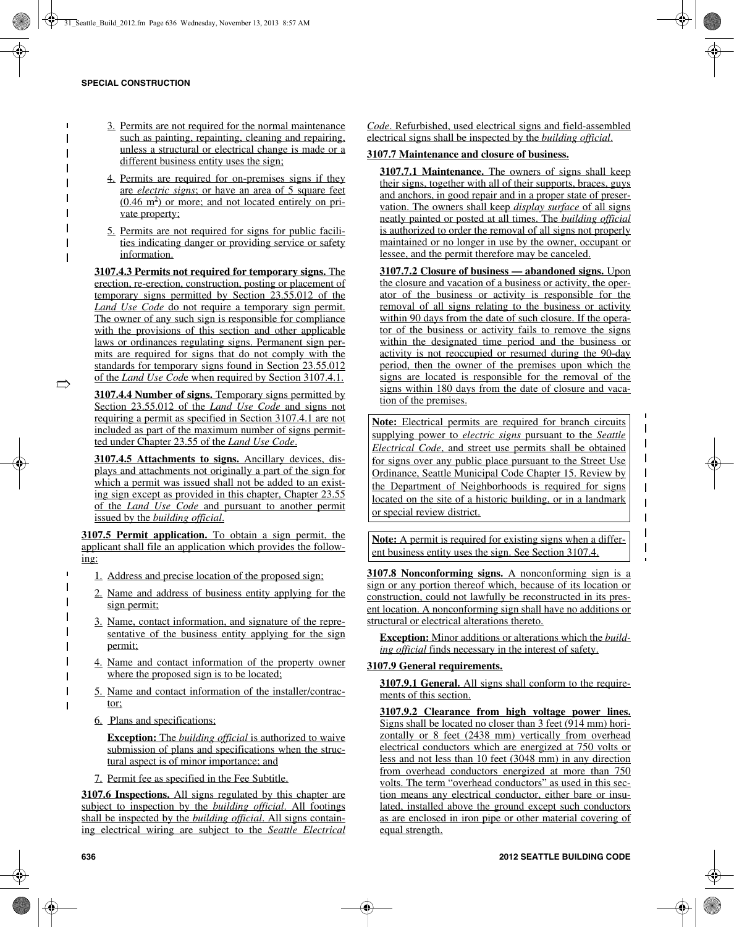- 3. Permits are not required for the normal maintenance such as painting, repainting, cleaning and repairing, unless a structural or electrical change is made or a different business entity uses the sign;
- 4. Permits are required for on-premises signs if they are *electric signs*; or have an area of 5 square feet  $(0.46 \text{ m}^2)$  or more; and not located entirely on private property;
- 5. Permits are not required for signs for public facilities indicating danger or providing service or safety information.

**3107.4.3 Permits not required for temporary signs.** The erection, re-erection, construction, posting or placement of temporary signs permitted by Section 23.55.012 of the *Land Use Code* do not require a temporary sign permit. The owner of any such sign is responsible for compliance with the provisions of this section and other applicable laws or ordinances regulating signs. Permanent sign permits are required for signs that do not comply with the standards for temporary signs found in Section 23.55.012 of the *Land Use Cod*e when required by Section 3107.4.1.

**3107.4.4 Number of signs.** Temporary signs permitted by Section 23.55.012 of the *Land Use Code* and signs not requiring a permit as specified in Section 3107.4.1 are not included as part of the maximum number of signs permitted under Chapter 23.55 of the *Land Use Code*.

**3107.4.5 Attachments to signs.** Ancillary devices, displays and attachments not originally a part of the sign for which a permit was issued shall not be added to an existing sign except as provided in this chapter, Chapter 23.55 of the *Land Use Code* and pursuant to another permit issued by the *building official*.

**3107.5 Permit application.** To obtain a sign permit, the applicant shall file an application which provides the following:

- 1. Address and precise location of the proposed sign;
- 2. Name and address of business entity applying for the sign permit;
- 3. Name, contact information, and signature of the representative of the business entity applying for the sign permit;
- 4. Name and contact information of the property owner where the proposed sign is to be located;
- 5. Name and contact information of the installer/contractor;
- 6. Plans and specifications;

**Exception:** The *building official* is authorized to waive submission of plans and specifications when the structural aspect is of minor importance; and

7. Permit fee as specified in the Fee Subtitle.

**3107.6 Inspections.** All signs regulated by this chapter are subject to inspection by the *building official*. All footings shall be inspected by the *building official*. All signs containing electrical wiring are subject to the *Seattle Electrical* *Code*. Refurbished, used electrical signs and field-assembled electrical signs shall be inspected by the *building official*.

## **3107.7 Maintenance and closure of business.**

**3107.7.1 Maintenance.** The owners of signs shall keep their signs, together with all of their supports, braces, guys and anchors, in good repair and in a proper state of preservation. The owners shall keep *display surface* of all signs neatly painted or posted at all times. The *building official* is authorized to order the removal of all signs not properly maintained or no longer in use by the owner, occupant or lessee, and the permit therefore may be canceled.

**3107.7.2 Closure of business — abandoned signs.** Upon the closure and vacation of a business or activity, the operator of the business or activity is responsible for the removal of all signs relating to the business or activity within 90 days from the date of such closure. If the operator of the business or activity fails to remove the signs within the designated time period and the business or activity is not reoccupied or resumed during the 90-day period, then the owner of the premises upon which the signs are located is responsible for the removal of the signs within 180 days from the date of closure and vacation of the premises.

**Note:** Electrical permits are required for branch circuits supplying power to *electric signs* pursuant to the *Seattle Electrical Code*, and street use permits shall be obtained for signs over any public place pursuant to the Street Use Ordinance, Seattle Municipal Code Chapter 15. Review by the Department of Neighborhoods is required for signs located on the site of a historic building, or in a landmark or special review district.

 $\overline{\phantom{a}}$  $\mathbf I$  $\overline{\phantom{a}}$ 

 $\overline{\phantom{a}}$  $\mathbf{I}$  $\overline{\phantom{a}}$  $\overline{\phantom{a}}$ 

**Note:** A permit is required for existing signs when a different business entity uses the sign. See Section 3107.4.

**3107.8 Nonconforming signs.** A nonconforming sign is a sign or any portion thereof which, because of its location or construction, could not lawfully be reconstructed in its present location. A nonconforming sign shall have no additions or structural or electrical alterations thereto.

**Exception:** Minor additions or alterations which the *building official* finds necessary in the interest of safety.

# **3107.9 General requirements.**

**3107.9.1 General.** All signs shall conform to the requirements of this section.

**3107.9.2 Clearance from high voltage power lines.** Signs shall be located no closer than 3 feet (914 mm) horizontally or 8 feet (2438 mm) vertically from overhead electrical conductors which are energized at 750 volts or less and not less than 10 feet (3048 mm) in any direction from overhead conductors energized at more than 750 volts. The term "overhead conductors" as used in this section means any electrical conductor, either bare or insulated, installed above the ground except such conductors as are enclosed in iron pipe or other material covering of equal strength.

 $\Rightarrow$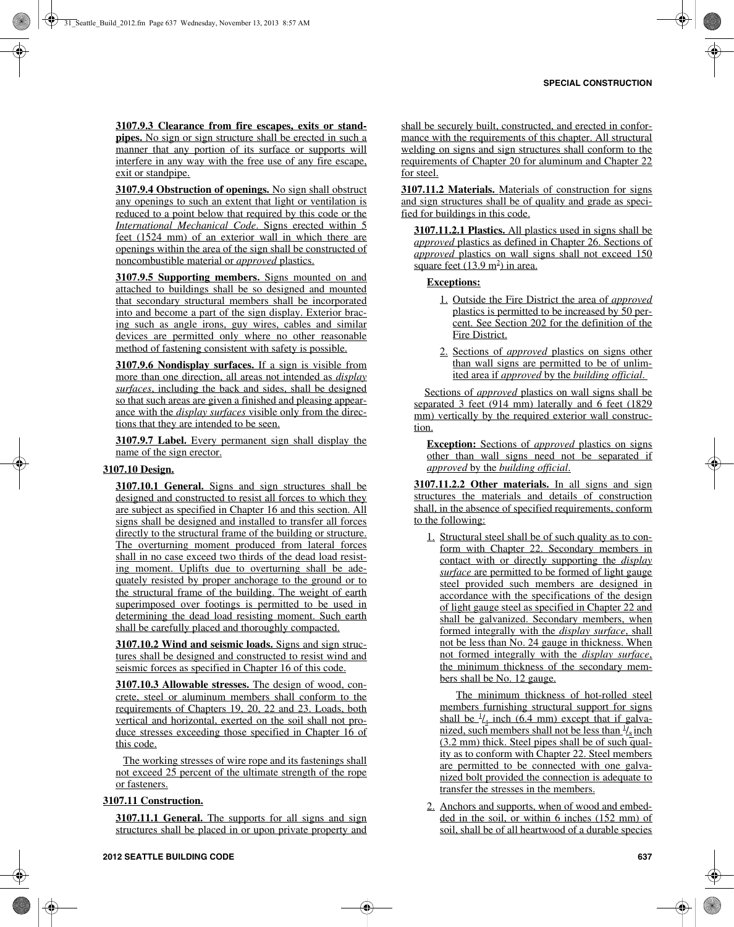**3107.9.3 Clearance from fire escapes, exits or standpipes.** No sign or sign structure shall be erected in such a manner that any portion of its surface or supports will interfere in any way with the free use of any fire escape, exit or standpipe.

**3107.9.4 Obstruction of openings.** No sign shall obstruct any openings to such an extent that light or ventilation is reduced to a point below that required by this code or the *International Mechanical Code*. Signs erected within 5 feet (1524 mm) of an exterior wall in which there are openings within the area of the sign shall be constructed of noncombustible material or *approved* plastics.

**3107.9.5 Supporting members.** Signs mounted on and attached to buildings shall be so designed and mounted that secondary structural members shall be incorporated into and become a part of the sign display. Exterior bracing such as angle irons, guy wires, cables and similar devices are permitted only where no other reasonable method of fastening consistent with safety is possible.

**3107.9.6 Nondisplay surfaces.** If a sign is visible from more than one direction, all areas not intended as *display surfaces*, including the back and sides, shall be designed so that such areas are given a finished and pleasing appearance with the *display surfaces* visible only from the directions that they are intended to be seen.

**3107.9.7 Label.** Every permanent sign shall display the name of the sign erector.

## **3107.10 Design.**

**3107.10.1 General.** Signs and sign structures shall be designed and constructed to resist all forces to which they are subject as specified in Chapter 16 and this section. All signs shall be designed and installed to transfer all forces directly to the structural frame of the building or structure. The overturning moment produced from lateral forces shall in no case exceed two thirds of the dead load resisting moment. Uplifts due to overturning shall be adequately resisted by proper anchorage to the ground or to the structural frame of the building. The weight of earth superimposed over footings is permitted to be used in determining the dead load resisting moment. Such earth shall be carefully placed and thoroughly compacted.

**3107.10.2 Wind and seismic loads.** Signs and sign structures shall be designed and constructed to resist wind and seismic forces as specified in Chapter 16 of this code.

**3107.10.3 Allowable stresses.** The design of wood, concrete, steel or aluminum members shall conform to the requirements of Chapters 19, 20, 22 and 23. Loads, both vertical and horizontal, exerted on the soil shall not produce stresses exceeding those specified in Chapter 16 of this code.

 The working stresses of wire rope and its fastenings shall not exceed 25 percent of the ultimate strength of the rope or fasteners.

## **3107.11 Construction.**

**3107.11.1 General.** The supports for all signs and sign structures shall be placed in or upon private property and

shall be securely built, constructed, and erected in conformance with the requirements of this chapter. All structural welding on signs and sign structures shall conform to the requirements of Chapter 20 for aluminum and Chapter 22 for steel.

**3107.11.2 Materials.** Materials of construction for signs and sign structures shall be of quality and grade as specified for buildings in this code.

**3107.11.2.1 Plastics.** All plastics used in signs shall be *approved* plastics as defined in Chapter 26. Sections of *approved* plastics on wall signs shall not exceed 150 square feet  $(13.9 \text{ m}^2)$  in area.

## **Exceptions:**

- 1. Outside the Fire District the area of *approved* plastics is permitted to be increased by 50 percent. See Section 202 for the definition of the Fire District.
- 2. Sections of *approved* plastics on signs other than wall signs are permitted to be of unlimited area if *approved* by the *building official*.

 Sections of *approved* plastics on wall signs shall be separated 3 feet (914 mm) laterally and 6 feet (1829 mm) vertically by the required exterior wall construction.

**Exception:** Sections of *approved* plastics on signs other than wall signs need not be separated if *approved* by the *building official*.

**3107.11.2.2 Other materials.** In all signs and sign structures the materials and details of construction shall, in the absence of specified requirements, conform to the following:

1. Structural steel shall be of such quality as to conform with Chapter 22. Secondary members in contact with or directly supporting the *display surface* are permitted to be formed of light gauge steel provided such members are designed in accordance with the specifications of the design of light gauge steel as specified in Chapter 22 and shall be galvanized. Secondary members, when formed integrally with the *display surface*, shall not be less than No. 24 gauge in thickness. When not formed integrally with the *display surface*, the minimum thickness of the secondary members shall be No. 12 gauge.

 The minimum thickness of hot-rolled steel members furnishing structural support for signs shall be  $\frac{1}{4}$  inch (6.4 mm) except that if galvanized, such members shall not be less than  $\frac{1}{6}$  inch  $(3.2 \text{ mm})$  thick. Steel pipes shall be of such quality as to conform with Chapter 22. Steel members are permitted to be connected with one galvanized bolt provided the connection is adequate to transfer the stresses in the members.

2. Anchors and supports, when of wood and embedded in the soil, or within 6 inches (152 mm) of soil, shall be of all heartwood of a durable species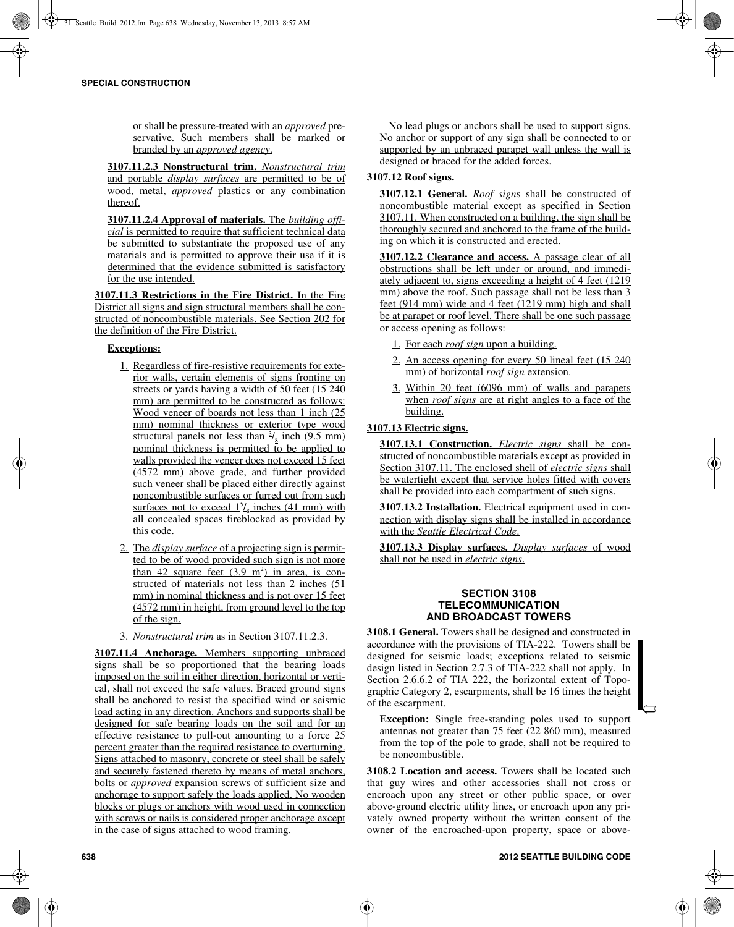or shall be pressure-treated with an *approved* preservative. Such members shall be marked or branded by an *approved agency*.

**3107.11.2.3 Nonstructural trim.** *Nonstructural trim* and portable *display surfaces* are permitted to be of wood, metal, *approved* plastics or any combination thereof.

**3107.11.2.4 Approval of materials.** The *building official* is permitted to require that sufficient technical data be submitted to substantiate the proposed use of any materials and is permitted to approve their use if it is determined that the evidence submitted is satisfactory for the use intended.

**3107.11.3 Restrictions in the Fire District.** In the Fire District all signs and sign structural members shall be constructed of noncombustible materials. See Section 202 for the definition of the Fire District.

# **Exceptions:**

- 1. Regardless of fire-resistive requirements for exterior walls, certain elements of signs fronting on streets or yards having a width of 50 feet (15 240 mm) are permitted to be constructed as follows: Wood veneer of boards not less than 1 inch (25 mm) nominal thickness or exterior type wood structural panels not less than  $\frac{3}{8}$  inch (9.5 mm) nominal thickness is permitted to be applied to walls provided the veneer does not exceed 15 feet (4572 mm) above grade, and further provided such veneer shall be placed either directly against noncombustible surfaces or furred out from such surfaces not to exceed  $1^5\ell_{\rm s}$  inches (41 mm) with all concealed spaces fireblocked as provided by this code.
- 2. The *display surface* of a projecting sign is permitted to be of wood provided such sign is not more than 42 square feet  $(3.9 \text{ m}^2)$  in area, is constructed of materials not less than 2 inches (51 mm) in nominal thickness and is not over 15 feet (4572 mm) in height, from ground level to the top of the sign.
- 3. *Nonstructural trim* as in Section 3107.11.2.3.

**3107.11.4 Anchorage.** Members supporting unbraced signs shall be so proportioned that the bearing loads imposed on the soil in either direction, horizontal or vertical, shall not exceed the safe values. Braced ground signs shall be anchored to resist the specified wind or seismic load acting in any direction. Anchors and supports shall be designed for safe bearing loads on the soil and for an effective resistance to pull-out amounting to a force 25 percent greater than the required resistance to overturning. Signs attached to masonry, concrete or steel shall be safely and securely fastened thereto by means of metal anchors, bolts or *approved* expansion screws of sufficient size and anchorage to support safely the loads applied. No wooden blocks or plugs or anchors with wood used in connection with screws or nails is considered proper anchorage except in the case of signs attached to wood framing.

 No lead plugs or anchors shall be used to support signs. No anchor or support of any sign shall be connected to or supported by an unbraced parapet wall unless the wall is designed or braced for the added forces.

# **3107.12 Roof signs.**

**3107.12.1 General.** *Roof sign*s shall be constructed of noncombustible material except as specified in Section 3107.11. When constructed on a building, the sign shall be thoroughly secured and anchored to the frame of the building on which it is constructed and erected.

**3107.12.2 Clearance and access.** A passage clear of all obstructions shall be left under or around, and immediately adjacent to, signs exceeding a height of 4 feet (1219 mm) above the roof. Such passage shall not be less than 3 feet (914 mm) wide and 4 feet (1219 mm) high and shall be at parapet or roof level. There shall be one such passage or access opening as follows:

- 1. For each *roof sign* upon a building.
- 2. An access opening for every 50 lineal feet (15 240 mm) of horizontal *roof sign* extension.
- 3. Within 20 feet (6096 mm) of walls and parapets when *roof signs* are at right angles to a face of the building.

# **3107.13 Electric signs.**

**3107.13.1 Construction.** *Electric signs* shall be constructed of noncombustible materials except as provided in Section 3107.11. The enclosed shell of *electric signs* shall be watertight except that service holes fitted with covers shall be provided into each compartment of such signs.

**3107.13.2 Installation.** Electrical equipment used in connection with display signs shall be installed in accordance with the *Seattle Electrical Code*.

**3107.13.3 Display surfaces.** *Display surfaces* of wood shall not be used in *electric signs*.

# **SECTION 3108 TELECOMMUNICATION AND BROADCAST TOWERS**

**3108.1 General.** Towers shall be designed and constructed in accordance with the provisions of TIA-222. Towers shall be designed for seismic loads; exceptions related to seismic design listed in Section 2.7.3 of TIA-222 shall not apply. In Section 2.6.6.2 of TIA 222, the horizontal extent of Topographic Category 2, escarpments, shall be 16 times the height of the escarpment.

**Exception:** Single free-standing poles used to support antennas not greater than 75 feet (22 860 mm), measured from the top of the pole to grade, shall not be required to be noncombustible.

**3108.2 Location and access.** Towers shall be located such that guy wires and other accessories shall not cross or encroach upon any street or other public space, or over above-ground electric utility lines, or encroach upon any privately owned property without the written consent of the owner of the encroached-upon property, space or above $\hookrightarrow$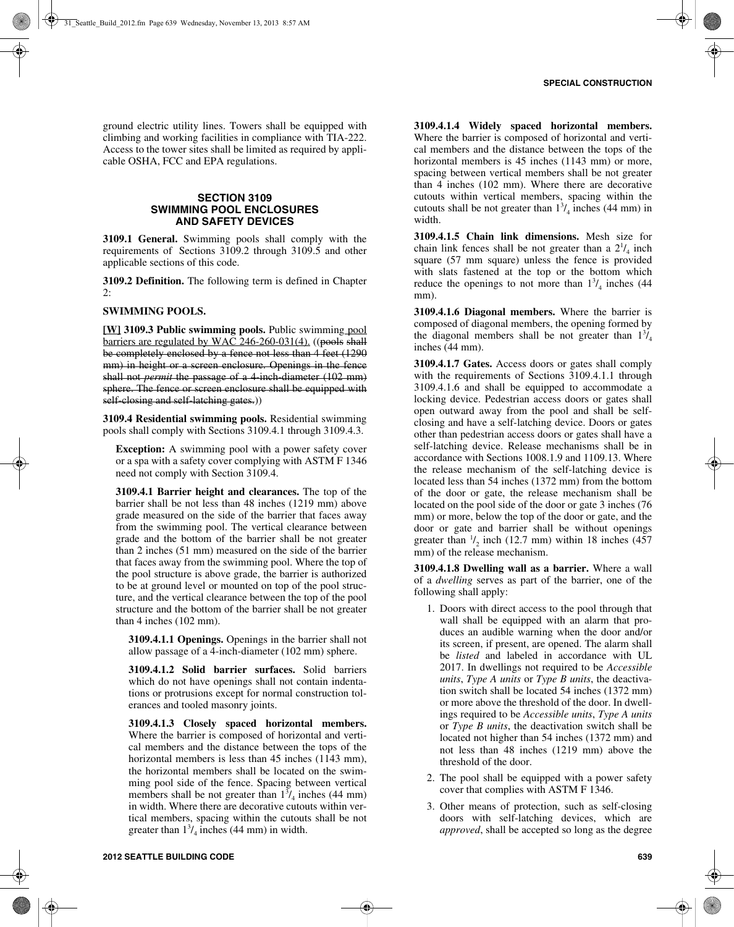ground electric utility lines. Towers shall be equipped with climbing and working facilities in compliance with TIA-222. Access to the tower sites shall be limited as required by applicable OSHA, FCC and EPA regulations.

# **SECTION 3109 SWIMMING POOL ENCLOSURES AND SAFETY DEVICES**

**3109.1 General.** Swimming pools shall comply with the requirements of Sections 3109.2 through 3109.5 and other applicable sections of this code.

**3109.2 Definition.** The following term is defined in Chapter 2:

# **SWIMMING POOLS.**

**[W] 3109.3 Public swimming pools.** Public swimming pool barriers are regulated by WAC 246-260-031(4). ((pools shall be completely enclosed by a fence not less than 4 feet (1290 mm) in height or a screen enclosure. Openings in the fence shall not *permit* the passage of a 4-inch-diameter (102 mm) sphere. The fence or screen enclosure shall be equipped with self-closing and self-latching gates.))

**3109.4 Residential swimming pools.** Residential swimming pools shall comply with Sections 3109.4.1 through 3109.4.3.

**Exception:** A swimming pool with a power safety cover or a spa with a safety cover complying with ASTM F 1346 need not comply with Section 3109.4.

**3109.4.1 Barrier height and clearances.** The top of the barrier shall be not less than 48 inches (1219 mm) above grade measured on the side of the barrier that faces away from the swimming pool. The vertical clearance between grade and the bottom of the barrier shall be not greater than 2 inches (51 mm) measured on the side of the barrier that faces away from the swimming pool. Where the top of the pool structure is above grade, the barrier is authorized to be at ground level or mounted on top of the pool structure, and the vertical clearance between the top of the pool structure and the bottom of the barrier shall be not greater than 4 inches (102 mm).

**3109.4.1.1 Openings.** Openings in the barrier shall not allow passage of a 4-inch-diameter (102 mm) sphere.

**3109.4.1.2 Solid barrier surfaces.** Solid barriers which do not have openings shall not contain indentations or protrusions except for normal construction tolerances and tooled masonry joints.

**3109.4.1.3 Closely spaced horizontal members.** Where the barrier is composed of horizontal and vertical members and the distance between the tops of the horizontal members is less than 45 inches (1143 mm). the horizontal members shall be located on the swimming pool side of the fence. Spacing between vertical members shall be not greater than  $1^{3}/_{4}$  inches (44 mm) in width. Where there are decorative cutouts within vertical members, spacing within the cutouts shall be not greater than  $1<sup>3</sup> / 4$  inches (44 mm) in width.

**3109.4.1.4 Widely spaced horizontal members.** Where the barrier is composed of horizontal and vertical members and the distance between the tops of the horizontal members is 45 inches (1143 mm) or more, spacing between vertical members shall be not greater than 4 inches (102 mm). Where there are decorative cutouts within vertical members, spacing within the cutouts shall be not greater than  $1\frac{3}{4}$  inches (44 mm) in width.

**3109.4.1.5 Chain link dimensions.** Mesh size for chain link fences shall be not greater than a  $2^{1}/_{4}$  inch square (57 mm square) unless the fence is provided with slats fastened at the top or the bottom which reduce the openings to not more than  $1\frac{3}{4}$  inches (44) mm).

**3109.4.1.6 Diagonal members.** Where the barrier is composed of diagonal members, the opening formed by the diagonal members shall be not greater than  $1\frac{3}{4}$ inches (44 mm).

**3109.4.1.7 Gates.** Access doors or gates shall comply with the requirements of Sections 3109.4.1.1 through 3109.4.1.6 and shall be equipped to accommodate a locking device. Pedestrian access doors or gates shall open outward away from the pool and shall be selfclosing and have a self-latching device. Doors or gates other than pedestrian access doors or gates shall have a self-latching device. Release mechanisms shall be in accordance with Sections 1008.1.9 and 1109.13. Where the release mechanism of the self-latching device is located less than 54 inches (1372 mm) from the bottom of the door or gate, the release mechanism shall be located on the pool side of the door or gate 3 inches (76 mm) or more, below the top of the door or gate, and the door or gate and barrier shall be without openings greater than  $\frac{1}{2}$  inch (12.7 mm) within 18 inches (457 mm) of the release mechanism.

**3109.4.1.8 Dwelling wall as a barrier.** Where a wall of a *dwelling* serves as part of the barrier, one of the following shall apply:

- 1. Doors with direct access to the pool through that wall shall be equipped with an alarm that produces an audible warning when the door and/or its screen, if present, are opened. The alarm shall be *listed* and labeled in accordance with UL 2017. In dwellings not required to be *Accessible units*, *Type A units* or *Type B units*, the deactivation switch shall be located 54 inches (1372 mm) or more above the threshold of the door. In dwellings required to be *Accessible units*, *Type A units* or *Type B units*, the deactivation switch shall be located not higher than 54 inches (1372 mm) and not less than 48 inches (1219 mm) above the threshold of the door.
- 2. The pool shall be equipped with a power safety cover that complies with ASTM F 1346.
- 3. Other means of protection, such as self-closing doors with self-latching devices, which are *approved*, shall be accepted so long as the degree